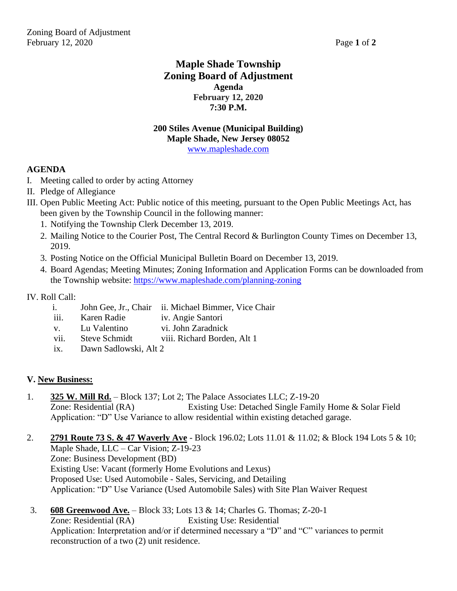# **Maple Shade Township Zoning Board of Adjustment Agenda February 12, 2020 7:30 P.M.**

#### **200 Stiles Avenue (Municipal Building) Maple Shade, New Jersey 08052** [www.mapleshade.com](http://www.mapleshade.com/)

## **AGENDA**

- I. Meeting called to order by acting Attorney
- II. Pledge of Allegiance
- III. Open Public Meeting Act: Public notice of this meeting, pursuant to the Open Public Meetings Act, has been given by the Township Council in the following manner:
	- 1. Notifying the Township Clerk December 13, 2019.
	- 2. Mailing Notice to the Courier Post, The Central Record & Burlington County Times on December 13, 2019.
	- 3. Posting Notice on the Official Municipal Bulletin Board on December 13, 2019.
	- 4. Board Agendas; Meeting Minutes; Zoning Information and Application Forms can be downloaded from the Township website:<https://www.mapleshade.com/planning-zoning>

## IV. Roll Call:

- i. John Gee, Jr., Chair ii. Michael Bimmer, Vice Chair
- iii. Karen Radie iv. Angie Santori
- v. Lu Valentino vi. John Zaradnick
- viii. Steve Schmidt viii. Richard Borden, Alt 1
- ix. Dawn Sadlowski, Alt 2

## **V. New Business:**

- 1. **325 W. Mill Rd.** Block 137; Lot 2; The Palace Associates LLC; Z-19-20 Zone: Residential (RA) Existing Use: Detached Single Family Home & Solar Field Application: "D" Use Variance to allow residential within existing detached garage.
- 2. **2791 Route 73 S. & 47 Waverly Ave** Block 196.02; Lots 11.01 & 11.02; & Block 194 Lots 5 & 10; Maple Shade, LLC – Car Vision; Z-19-23 Zone: Business Development (BD) Existing Use: Vacant (formerly Home Evolutions and Lexus) Proposed Use: Used Automobile - Sales, Servicing, and Detailing Application: "D" Use Variance (Used Automobile Sales) with Site Plan Waiver Request
- 3. **608 Greenwood Ave.** Block 33; Lots 13 & 14; Charles G. Thomas; Z-20-1 Zone: Residential (RA) Existing Use: Residential Application: Interpretation and/or if determined necessary a "D" and "C" variances to permit reconstruction of a two (2) unit residence.